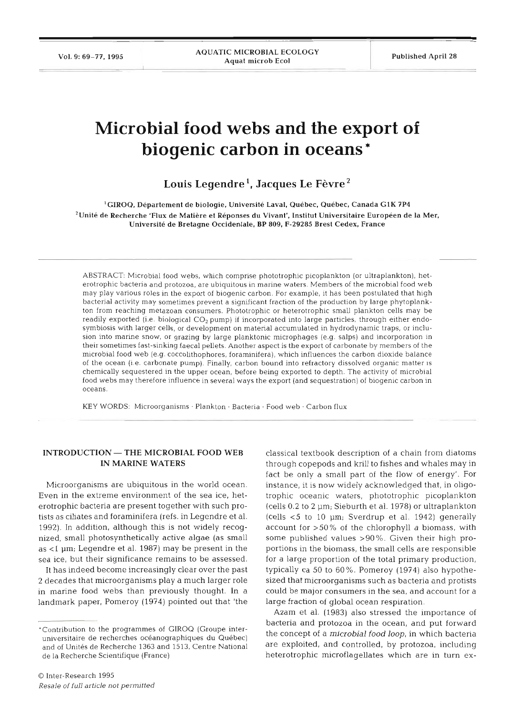# **Microbial food webs and the export of biogenic carbon in oceans** \*

Louis Legendre<sup>1</sup>, Jacques Le Fèvre<sup>2</sup>

<sup>1</sup>GIROQ, Département de biologie, Université Laval, Québec, Québec, Canada G1K 7P4 'Unite **de** Recherche 'Flux de Matiere et Reponses du Vivant', Institut Universitaire Europeen de la Mer, Universite de Bretagne Occidentale, BP **809, F-29285** Brest Cedex, France

ABSTRACT: Microbial food webs, which comprise phototrophic picoplankton (or ultraplankton), heterotrophic bacteria and protozoa, are ubiquitous in marine waters. Members of the microbial food web may play various roles in the export of biogenic carbon. For example, it has been postulated that high bacterial activity may sometimes prevent a significant fraction of the production by large phytoplankton from reaching metazoan consumers. Phototrophit or heterotrophic small plankton cells may be readily exported (i.e. biological *CO2* pump) if incorporated into large particles, through either endosymbiosis with larger cells, or development on material accumulated in hydrodynamic traps, or inclusion into marine snow, or grazing by large planktonic microphages (e.g. salps) and incorporation in their sometimes fast-sinking faecal pellets. Another aspect is the export of carbonate by members of the microbial food web (e.g. coccolithophores, foraminifera), which influences the carbon dioxide balance of the ocean (i.e. carbonate pump). Finally, carbon bound into refractory dissolved organic matter is chemically sequestered in the upper ocean, before being exported to depth. The activity of microbial food webs may therefore influence in several ways the export (and sequestration) of biogenic carbon in oce

KEY WORDS: Microorganisms · Plankton · Bacteria · Food web · Carbon flux

# **INTRODUCTION — THE MICROBIAL FOOD V IN MARINE WATERS**

Microorganisms are ubiquitous in the world ocean. Even in the extreme environment of the sea ice, heterotrophic bacteria are present together with such protists as ciliates and foraminifera (refs. in Legendre et al. 1992). In addition, although this is not widely recognized, small photosynthetically active algae (as small as  $<$ 1  $\mu$ m; Legendre et al. 1987) may be present in the sea ice, but their significance remains to be assessed.

It has indeed become increasingly clear over the past **2** decades that microorganisms play a much larger role in marine food webs than previously thought. In a landmark paper, Pomeroy (1974) pointed out that 'the

O Inter-Research 1995 Resale *of full artlcle not pernutted*  classical textbook description of a chain from diatoms through copepods and krill to fishes and whales may in fact be only a small part of the flow of energy'. For instance, it is now widely acknowledged that, in oligotrophic oceanic waters, phototrophic picoplankton (cells 0.2 to 2 pm; Sieburth et al. 1978) or ultraplankton (cells  $<$  5 to 10  $\mu$ m; Sverdrup et al. 1942) generally account for >50% of the chlorophyll a biomass, with some published values >90%. Given their high proportions in the biomass, the small cells are responsible for a large proportion of the total primary production, typically ca 50 to 60%. Pomeroy (1974) also hypothesized that microorganisms such as bacteria and protists could be major consumers in the sea, and account for a large fraction of global ocean respiration.

Azam et al. (1983) also stressed the importance of bacteria and protozoa in the ocean, and put forward the concept of a *microbial food loop,* in which bacteria are exploited, and controlled, by protozoa, including heterotrophic microflagellates which are in turn ex-

<sup>&#</sup>x27;Contribution to the programmes of GIROQ (Groupe interuniversitaire de recherches océanographiques du Québec) and of Unités de Recherche 1363 and 1513, Centre National de la Recherche Scientifique (France)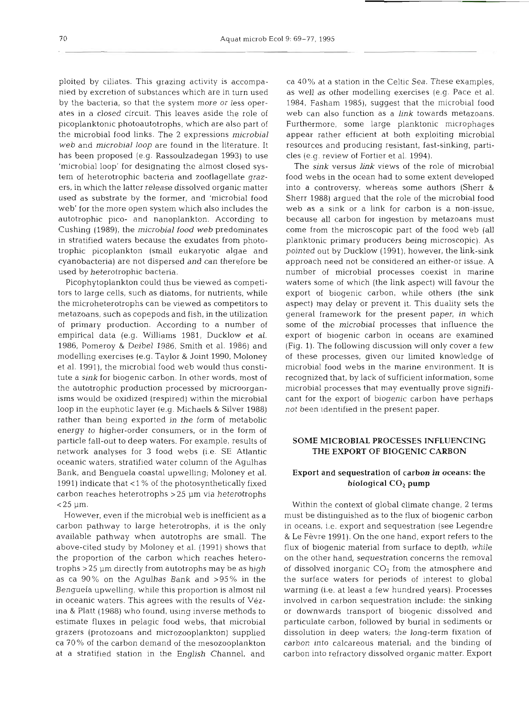ploited by ciliates. This grazing activity is accompanied by excretion of substances which are in turn used by the bacteria, so that the system more or less operates in a closed circuit. This leaves aside the role of picoplanktonic photoautotrophs, which are also part of the microbial food links. The 2 expressions microbial web and microbial loop are found in the literature. It has been proposed (e.g. Rassoulzadegan 1993) to use 'microbial loop' for designating the almost closed system of heterotrophic bacteria and zooflagellate grazers, in which the latter release dissolved organic matter used as substrate by the former, and 'microbial food web' for the more open system which also includes the autotrophic pico- and nanoplankton. According to Cushing (1989), the microbial food web predominates in stratified waters because the exudates from phototrophic picoplankton (small eukaryotic algae and cyanobacteria) are not dispersed and can therefore be used by heterotrophic bacteria.

Picophytoplankton could thus be viewed as competitors to large cells, such as diatoms, for nutrients, while the microheterotrophs can be viewed as competitors to metazoans, such as copepods and fish, in the utilization of primary production. According to a number of empirical data (e.g. Williams 1981, Ducklow et al. 1986, Pomeroy & Deibel 1986, Smith et al. 1986) and modelling exercises (e.g. Taylor & Joint 1990, Moloney et al. 1991), the microbial food web would thus constitute a sink for biogenic carbon. In other words, most of the autotrophic production processed by microorganisms would be oxidized (respired) within the microbial loop in the euphotic layer (e.g. Michaels & Silver 1988) rather than being exported in the form of metabolic energy to higher-order consumers, or in the form of particle fall-out to deep waters. For example, results of network analyses for **3** food webs (i.e. SE Atlantic oceanic waters, stratified water column of the Agulhas Bank, and Benguela coastal upwelling; Moloney et al. 1991) indicate that < 1 % of the photosynthetically fixed carbon reaches heterotrophs >25 pm via heterotrophs  $<$  25  $\mu$ m.

However, even if the microbial web is inefficient as a carbon pathway to large heterotrophs, it is the only available pathway when autotrophs are small. The above-cited study by Moloney et al. (1991) shows that the proportion of the carbon which reaches heterotrophs >25 pm directly from autotrophs may be as high as ca 90% on the Agulhas Bank and >95% in the Benguela upwelling, while this proportion is almost nil in oceanic waters. This agrees with the results of Vezina & Platt (1988) who found, using inverse methods to estimate fluxes in pelagic food webs, that microbial grazers (protozoans and microzooplankton) supplied ca 70% of the carbon demand of the mesozooplankton at a stratified station in the English Channel, and

ca 40% at a station in the Celtic Sea. These examples, as well as other modelling exercises (e.g. Pace et al. 1984, Fasham 1985), suggest that the microbial food web can also function as a link towards metazoans. Furthermore, some large planktonic microphages appear rather efficient at both exploiting microbial resources and producing resistant, fast-sinking, particles (e.g. review of Fortier et al. 1994).

The sink versus link views of the role of microbial food webs in the ocean had to some extent developed into a controversy, whereas some authors (Sherr & Sherr 1988) argued that the role of the microbial food web as a sink or a link for carbon is a non-issue, because all carbon for ingestion by metazoans must come from the microscopic part of the food web (all planktonic primary producers being microscopic). As pointed out by Ducklow (1991), however, the link-sink approach need not be considered an either-or issue. A number of microbial processes coexist in marine waters some of which (the link aspect) will favour the export of biogenic carbon, while others (the sink aspect) may delay or prevent it. This duality sets the general framework for the present paper, in which some of the microbial processes that influence the export of biogenic carbon in oceans are examined (Fig. 1). The following discussion will only cover a few of these processes, given our limited knowledge of microbial food webs in the marine environment. It is recognized that, by lack of sufficient information, some microbial processes that may eventually prove significant for the export of biogenic carbon have perhaps not been identified in the present paper.

# **SOME MICROBIAL PROCESSES INFLUENCING**  THE **EXPORT OF BIOGENIC CARBON**

# Export and sequestration of carbon in oceans: the biological **CO2** pump

Within the context of global climate change, 2 terms must be distinguished as to the flux of biogenic carbon in oceans, i.e. export and sequestration (see Legendre & Le Fevre 1991). On the one hand, export refers to the flux of biogenic material from surface to depth, while on the other hand, sequestration concerns the removal of dissolved inorganic  $CO<sub>2</sub>$  from the atmosphere and the surface waters for periods of interest to global warming (i.e. at least a few hundred years). Processes involved in carbon sequestration include: the sinking or downwards transport of biogenic dissolved and particulate carbon, followed by burial in sediments or dissolution in deep waters; the long-term fixation of carbon into calcareous material; and the binding of carbon into refractory dissolved organic matter. Export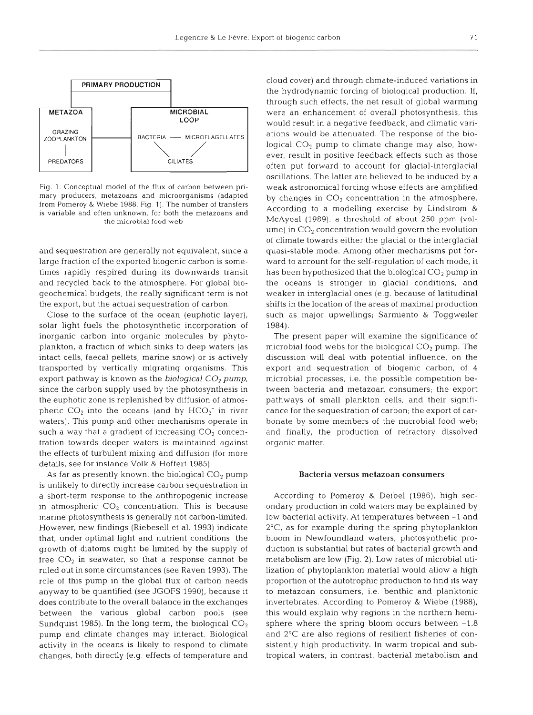

Fig. 1. Conceptual model of the flux of carbon between primary producers, metazoans and microorganisms (adapted from Pomeroy & Wiebe 1988, Fig. 1). The number of transfers is variable and often unknown, for both the metazoans and the microbial food web

and sequestration are generally not equivalent, since a large fraction of the exported biogenic carbon is sometimes rapidly respired during its downwards transit and recycled back to the atmosphere. For global biogeochemical budgets, the really significant term is not the export, but the actual sequestration of carbon.

Close to the surface of the ocean (euphotic layer), solar light fuels the photosynthetic incorporation of inorganic carbon into organic molecules by phytoplankton, a fraction of which sinks to deep waters (as intact cells, faecal pellets, marine snow) or is actively transported by vertically migrating organisms. This export pathway is known as the **biological** *CO2* pump, since the carbon supply used by the photosynthesis in the euphotic zone is replenished by diffusion of atmospheric  $CO<sub>2</sub>$  into the oceans (and by  $HCO<sub>3</sub><sup>-</sup>$  in river waters). This pump and other mechanisms operate in such a way that a gradient of increasing  $CO<sub>2</sub>$  concentration towards deeper waters is maintained against the effects of turbulent mixing and diffusion (for more details, see for instance Volk & Hoffert 1985).

As far as presently known, the biological  $CO<sub>2</sub>$  pump is unlikely to directly increase carbon sequestration in a short-term response to the anthropogenic increase in atmospheric  $CO<sub>2</sub>$  concentration. This is because marine photosynthesis is generally not carbon-limited. However, new findings (Riebesell et al. 1993) indicate that, under optimal light and nutrient conditions, the growth of diatoms might be limited by the supply of free  $CO<sub>2</sub>$  in seawater, so that a response cannot be ruled out in some circumstances (see Raven 1993). The role of this pump in the global flux of carbon needs anyway to be quantified (see JGOFS 1990), because it does contribute to the overall balance in the exchanges between the various global carbon pools (see Sundquist 1985). In the long term, the biological  $CO<sub>2</sub>$ pump and climate changes may interact. Biological activity in the oceans is likely to respond to climate changes, both directly (e.g, effects of temperature and cloud cover) and through climate-induced variations in the hydrodynamic forcing of biological production. If, through such effects, the net result of global warming were an enhancement of overall photosynthesis, this would result in a negative feedback, and climatic variations would be attenuated. The response of the biological  $CO<sub>2</sub>$  pump to climate change may also, however, result in positive feedback effects such as those often put forward to account for glacial-interglacial oscillations. The latter are believed to be induced by a weak astronomical forcing whose effects are amplified by changes in  $CO<sub>2</sub>$  concentration in the atmosphere. According to a modelling exercise by Lindstrom & McAyeal (1989), a threshold of about 250 ppm (volume) in  $CO<sub>2</sub>$  concentration would govern the evolution of climate towards either the glacial or the interglacial quasi-stable mode. Among other mechanisms put forward to account for the self-regulation of each mode, it has been hypothesized that the biological  $CO<sub>2</sub>$  pump in the oceans is stronger in glacial conditions, and weaker in interglacial ones (e.g. because of latitudinal shifts in the location of the areas of maximal production such as major upwellings; Sarmiento & Toggweiler 1984).

The present paper will examine the significance of microbial food webs for the biological  $CO<sub>2</sub>$  pump. The discussion will deal with potential influence, on the export and sequestration of biogenic carbon, of 4 microbial processes, i.e. the possible competition between bacteria and metazoan consumers; the export pathways of small plankton cells, and their significance for the sequestration of carbon; the export of carbonate by some members of the microbial food web; and finally, the production of refractory dissolved organic matter.

#### **Bacteria versus metazoan consumers**

According to Pomeroy & Deibel (1986), high secondary production in cold waters may be explained by low bacterial activity. At temperatures between -1 and 2"C, as for example during the spring phytoplankton bloom in Newfoundland waters, photosynthetic production is substantial but rates of bacterial growth and metabolism are low (Fig. 2). Low rates of microbial utilization of phytoplankton material would allow a high proportion of the autotrophic production to find its way to metazoan consumers, i.e. benthic and planktonic invertebrates. According to Pomeroy & Wiebe (1988), this would explain why regions in the northern hemisphere where the spring bloom occurs between  $-1.8$ and 2°C are also regions of resilient fisheries of consistently high productivity. In warm tropical and subtropical waters, in contrast, bacterial metabolism and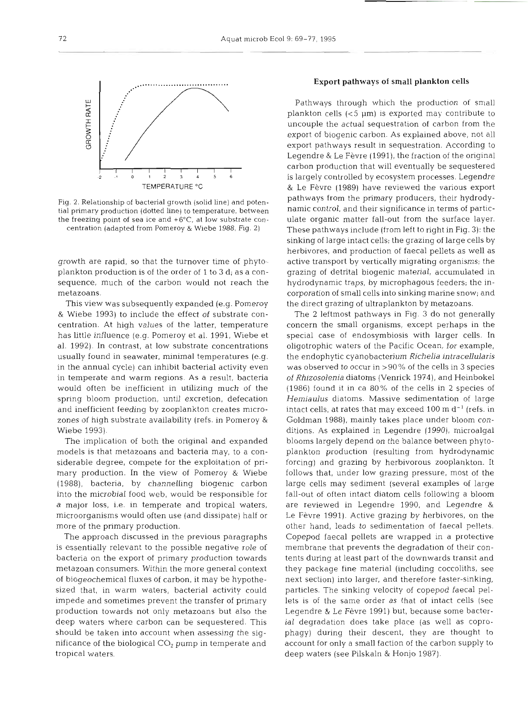

Fig. 2. Relationship of bacterial growth (solid line) and potential primary production (dotted line) to temperature, between the freezing point of sea ice and +6"C, at low substrate concentration (adapted from Pomeroy & Wiebe 1988, Fig. 2)

growth are rapid, so that the turnover time of phytoplankton production is of the order of 1 to 3 d; as a consequence, much of the carbon would not reach the metazoans.

This view was subsequently expanded (e.g. Pomeroy & Wiebe 1993) to include the effect of substrate concentration. At high values of the latter, temperature has little influence (e.g. Pomeroy et al. 1991, Wiebe et al. 1992). In contrast, at low substrate concentrations usually found in seawater, minimal temperatures (e.g. in the annual cycle) can inhibit bacterial activity even in temperate and warm regions. As a result, bacteria would often be inefficient in utilizing much of the spring bloom production, until excretion, defecation and inefficient feeding by zooplankton creates microzones of high substrate availability (refs. in Pomeroy & Wiebe 1993).

The implication of both the original and expanded models is that metazoans and bacteria may, to a considerable degree, compete for the exploitation of primary production. In the view of Pomeroy & Wiebe (1988), bacteria, by channelling biogenic carbon into the microbial food web, would be responsible for a major loss, i.e. in temperate and tropical waters, microorganisms would often use (and dissipate) half or more of the primary production.

The approach discussed in the previous paragraphs is essentially relevant to the possible negative role of bacteria on the export of primary production towards metazoan consumers. Within the more general context of biogeochemical fluxes of carbon, it may be hypothesized that, in warm waters, bacterial activity could impede and sometimes prevent the transfer of primary production towards not only metazoans but also the deep waters where carbon can be sequestered. This should be taken into account when assessing the significance of the biological  $CO<sub>2</sub>$  pump in temperate and tropical waters.

## **Export** pathways of small plankton cells

Pathways through which the production of small plankton cells (<5 pm) is exported may contribute to uncouple the actual sequestration of carbon from the export of biogenic carbon. As explained above, not all export pathways result in sequestration. According to Legendre & Le Fèvre (1991), the fraction of the original carbon production that will eventually be sequestered is largely controlled by ecosystem processes. Legendre & Le Fèvre (1989) have reviewed the various export pathways from the primary producers, their hydrodynamic control, and their significance in terms of particulate organic matter fall-out from the surface layer. These pathways include (from left to right in Fig. 3): the sinking of large intact cells: the grazing of large cells by herbivores, and production of faecal pellets as well as active transport by vertically migrating organisms; the grazing of detrital biogenic material, accumulated in hydrodynamic traps, by microphagous feeders; the incorporation of small cells into sinking marine snow; and the direct grazing of ultraplankton by metazoans.

The **2** leftmost pathways in Fig. 3 do not generally concern the small organisms, except perhaps in the special case of endosymbiosis with larger cells. In oligotrophic waters of the Pacific Ocean, for example, the endophytic cyanobacterium *Richelia intracellularis*  was observed to occur in >90% of the cells in 3 species of **Rhizosolenia** diatoms (Venrick 1974), and Heinbokel (1986) found it in ca 80% of the cells in 2 species of *Herniaulus* diatoms. Massive sedimentation of large intact cells, at rates that may exceed  $100 \text{ m d}^{-1}$  (refs. in Goldman 1988), mainly takes place under bloom conditions. As explained in Legendre (1990), microalgal blooms largely depend on the balance between phytoplankton production (resulting from hydrodynamic forcing) and grazing by herbivorous zooplankton. It follows that, under low grazing pressure, most of the large cells may sediment (several examples of large fall-out of often intact diatom cells following a bloom are reviewed in Legendre 1990, and Legendre & Le Fèvre 1991). Active grazing by herbivores, on the other hand, leads to sedimentation of faecal pellets. Copepod faecal pellets are wrapped in a protective membrane that prevents the degradation of their contents during at least part of the downwards transit and they package fine material (including coccoliths, see next section) into larger, and therefore faster-sinking, particles. The sinking velocity of copepod faecal pellets is of the same order as that of intact cells (see Legendre & Le Fèvre 1991) but, because some bacterial degradation does take place (as well as coprophagy) during their descent, they are thought to account for only a small faction of the carbon supply to deep waters (see Pilskaln & Honjo 1987).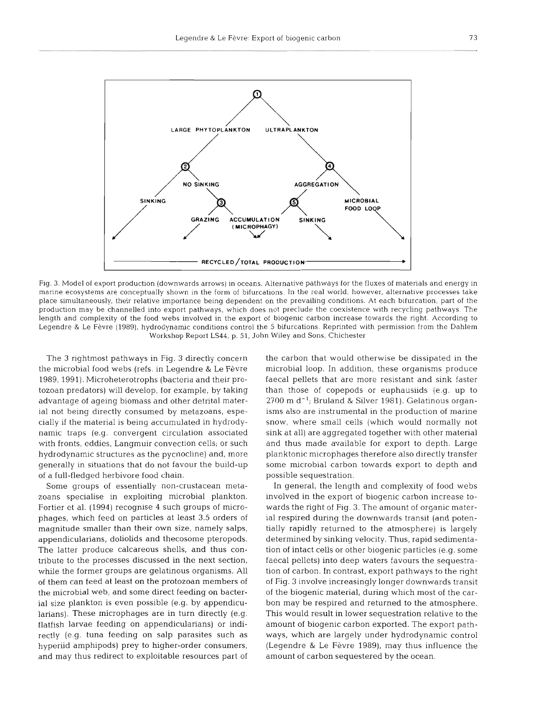

Fig. 3. Model of export production (downwards arrows) in oceans. Alternative pathways for the fluxes of materials and energy in marine ecosystems are conceptually shown in the form of bifurcations. In the real world, however, alternative processes take place simultaneously, their relative importance being dependent on the prevailing conditions. At each bifurcation, part of the production may be channelled into export pathways, which does not preclude the coexistence with recycling pathways. The length and complexity of the food webs involved in the export of biogenic carbon increase towards the right. According to Legendre & Le Fevre (1989), hydrodynamic conditions control the 5 bifurcations. Reprinted with permission from the Dahlem Workshop Report **LS44,** p. 51, John Wiley and Sons, Chichester

The 3 rightmost pathways in Fig. 3 directly concern the microbial food webs (refs. in Legendre & Le Fevre 1989, 1991). Microheterotrophs (bacteria and their protozoan predators) will develop, for example, by taking advantage of ageing biomass and other detrital material not being directly consumed by metazoans, especially if the material is being accumulated in hydrodynamic traps (e.g. convergent circulation associated with fronts, eddies, Langmuir convection cells; or such hydrodynamic structures as the pycnocline) and, more generally in situations that do not favour the build-up of a full-fledged herbivore food chain.

Some groups of essentially non-crustacean metazoans specialise in exploiting microbial plankton. Fortier et al. (1994) recognise 4 such groups of microphages, which feed on particles at least 3.5 orders of magnitude smaller than their own size, namely salps, appendicularians, doliolids and thecosome pteropods. The latter produce calcareous shells, and thus contribute to the processes discussed in the next section, while the former groups are gelatinous organisms. All of them can feed at least on the protozoan members of the microbial web, and some direct feeding on bacterial size plankton is even possible (e.g. by appendicularians). These microphages are in turn directly (e.g. flatfish larvae feeding on appendicularians) or indirectly (e.g. tuna feeding on salp parasites such as hyperiid amphipods) prey to higher-order consumers, and may thus redirect to exploitable resources part of

the carbon that would otherwise be dissipated in the microbial loop. In addition, these organisms produce faecal pellets that are more resistant and sink faster than those of copepods or euphausiids (e.g. up to  $2700$  m d<sup>-1</sup>; Bruland & Silver 1981). Gelatinous organisms also are instrumental in the production of marine snow, where small cells (which would normally not sink at all) are aggregated together with other material and thus made available for export to depth. Large planktonic microphages therefore also directly transfer some microbial carbon towards export to depth and possible sequestration.

In general, the length and complexity of food webs involved in the export of biogenic carbon increase towards the right of Fig. 3. The amount of organic material respired during the downwards transit (and potentially rapidly returned to the atmosphere) is largely determined by sinking velocity. Thus, rapid sedimentation of intact cells or other biogenic particles (e.g. some faecal pellets) into deep waters favours the sequestration of carbon. In contrast, export pathways to the right of Fig. **3** involve increasingly longer downwards transit of the biogenic material, during which most of the carbon may be respired and returned to the atmosphere. This would result in lower sequestration relative to the amount of biogenic carbon exported. The export pathways, which are largely under hydrodynamic control (Legendre & Le Fèvre 1989), may thus influence the amount of carbon sequestered by the ocean.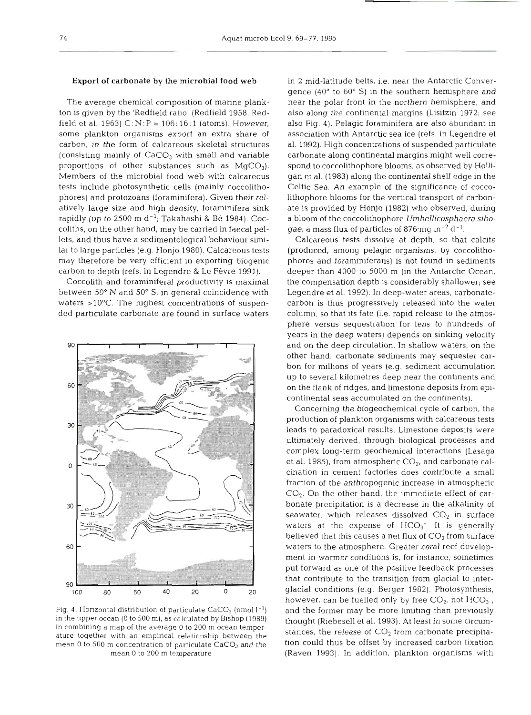#### Export of carbonate **by** the microbial food web

The average chemical composition of marine plankton is given by the 'Redfield ratio' (Redfield 1958, Redfield et al. 1963)  $C: N: P = 106:16:1$  (atoms). However, some plankton organisms export an extra share of carbon, in the form of calcareous skeletal structures (consisting mainly of  $CaCO<sub>3</sub>$  with small and variable proportions of other substances such as  $MgCO<sub>3</sub>$ . Members of the microbial food web with calcareous tests include photosynthetic cells (mainly coccolithophores) and protozoans (foraminifera). Given their relatively large size and high density, foraminifera sink rapidly (up to 2500 m  $d^{-1}$ ; Takahashi & Bé 1984). Coccoliths, on the other hand, may be carried in faecal pellets, and thus have a sedimentological behaviour similar to large particles (e.g. Honjo 1980). Calcareous tests may therefore be very efficient in exporting biogenic carbon to depth (refs. in Legendre & Le Fèvre 1991).

Coccolith and foraminiferal productivity is maximal between 50" N and 50" S, in general coincidence with waters >10°C. The highest concentrations of suspended particulate carbonate are found in surface waters



Fig. 4. Horizontal distribution of particulate  $CaCO<sub>3</sub>$  (nmol  $I<sup>-1</sup>$ ) in the upper ocean (0 to 500 m), as calculated by Bishop (1989) in combining a map of the average 0 to 200 m ocean temperature together with an empirical relationship between the mean 0 to 500 m concentration of particulate  $\text{CaCO}_3$  and the mean 0 to 200 m temperature

in 2 mid-latitude belts, i.e. near the Antarctic Convergence  $(40^{\circ}$  to  $60^{\circ}$  S) in the southern hemisphere and near the polar front in the northern hemisphere, and also along the continental margins (Lisitzin 1972; see also Fig. 4). Pelagic foraminifera are also abundant in association with Antarctic sea ice (refs. in Legendre et al. 1992). High concentrations of suspended particulate carbonate along continental margins might well correspond to coccolithophore blooms, as observed by Holligan et al. (1983) along the continental shelf edge in the Celtic Sea. An example of the significance of coccolithophore blooms for the vertical transport of carbonate is provided by Honjo (1982) who observed, during a bloom of the coccolithophore Umbellicosphaera sibo*gae*, a mass flux of particles of 876 mg m<sup>-2</sup> d<sup>-1</sup>.

Calcareous tests dissolve at depth, so that calcite (produced, among pelagic organisms, by coccolithophores and foraminiferans) is not found in sediments deeper than 4000 to 5000 m (in the Antarctic Ocean, the compensation depth is considerably shallower; see Legendre et al. 1992). In deep-water areas, carbonatecarbon is thus progressively released into the water column, so that its fate (i.e. rapid release to the atmosphere versus sequestration for tens to hundreds of years in the deep waters) depends on sinking velocity and on the deep circulation. In shallow waters, on the other hand, carbonate sediments may sequester carbon for millions of years (e.g. sediment accumulation up to several kilometres deep near the continents and on the flank of ridges, and limestone deposits from epicontinental seas accumulated on the continents).

Concerning the biogeochemical cycle of carbon, the production of plankton organisms with calcareous tests leads to paradoxical results. Limestone deposits were ultimately derived, through biological processes and complex long-term geochemical interactions (Lasaga et al. 1985), from atmospheric  $CO<sub>2</sub>$ , and carbonate calcination in cement factories does contribute a small fraction of the anthropogenic increase in atmospheric  $CO<sub>2</sub>$ . On the other hand, the immediate effect of carbonate precipitation is a decrease in the alkalinity of seawater, which releases dissolved  $CO<sub>2</sub>$  in surface waters at the expense of  $HCO<sub>3</sub>$ . It is generally believed that this causes a net flux of  $\mathrm{CO}_2$  from surface waters to the atmosphere. Greater coral reef development in warmer conditions is, for instance, sometimes put forward as one of the positive feedback processes that contribute to the transition from glacial to interglacial conditions (e.g. Berger 1982). Photosynthesis, however, can be fuelled only by free  $CO<sub>2</sub>$ , not  $HCO<sub>3</sub>$ , and the former may be more limiting than previously thought (Riebesell et al. 1993). **At** least in some circumstances, the release of  $CO<sub>2</sub>$  from carbonate precipitation could thus be offset by increased carbon fixation (Raven 1993). In addition, plankton organisms with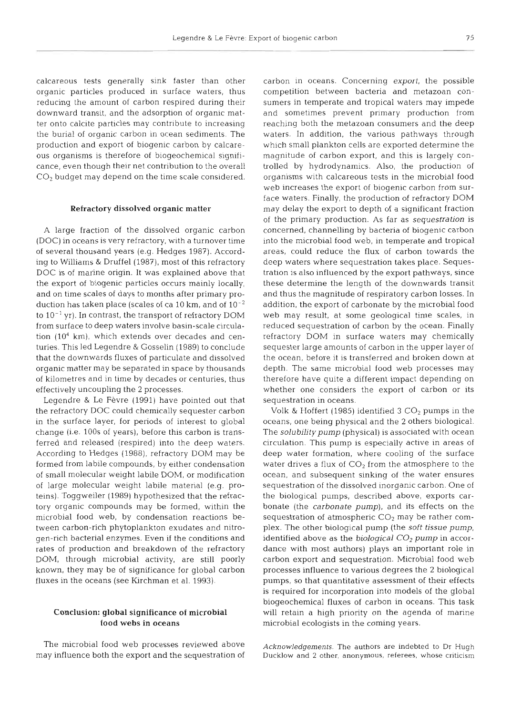calcareous tests generally sink faster than other organic particles produced in surface waters, thus reducing the amount of carbon respired during their downward transit, and the adsorption of organic matter onto calcite particles may contribute to increasing the burial of organic carbon in ocean sediments. The production and export of biogenic carbon by calcareous organisms is therefore of biogeochemical significance, even though their net contribution to the overall CO<sub>2</sub> budget may depend on the time scale considered.

### **Refractory dissolved organic matter**

A large fraction of the dissolved organic carbon (DOC) in oceans is very refractory, with a turnover time of several thousand years (e.g. Hedges 1987). According to Williams & Druffel (1987), most of this refractory DOC is of marine origin. It was explained above that the export of biogenic particles occurs mainly locally, and on time scales of days to months after primary production has taken place (scales of ca 10 km, and of  $10^{-2}$ to  $10^{-1}$  yr). In contrast, the transport of refractory DOM from surface to deep waters involve basin-scale circulation **(104** km), which extends over decades and centuries. This led Legendre & Gosselin (1989) to conclude that the downwards fluxes of particulate and dissolved organic matter may be separated in space by thousands of kilometres and in time by decades or centuries, thus effectively uncoupling the 2 processes.

Legendre & Le Fèvre (1991) have pointed out that the refractory DOC could chemically sequester carbon in the surface layer, for periods of interest to global change (i.e. 100s of years), before this carbon is transferred and released (respired) into the deep waters. According to Hedges (1988), refractory DOM may be formed from labile compounds, by either condensation of small molecular weight labile DOM, or modification of large molecular weight labile material (e.g. proteins). Toggweiler (1989) hypothesized that the refractory organic compounds may be formed, within the microbial food web, by condensation reactions between carbon-rich phytoplankton exudates and nitrogen-rich bacterial enzymes. Even if the conditions and rates of production and breakdown of the refractory DOM, through microbial activity, are still poorly known, they may be of significance for global carbon fluxes in the oceans (see Kirchman et al. 1993).

# **Conclusion: global significance of microbial food webs in oceans**

The microbial food web processes reviewed above may influence both the export and the sequestration of carbon in oceans. Concerning export, the possible competition between bacteria and metazoan consumers in temperate and tropical waters may impede and sometimes prevent primary production from reaching both the metazoan consumers and the deep waters. In addition, the various pathways through which small plankton cells are exported determine the magnitude of carbon export, and this is largely controlled by hydrodynamics. Also, the production of organisms with calcareous tests in the microbial food web increases the export of biogenic carbon from surface waters. Finally, the production of refractory DOM may delay the export to depth of a significant fraction of the primary production. As far as sequestration is concerned, channelling by bacteria of biogenic carbon into the microbial food web, in temperate and tropical areas, could reduce the flux of carbon towards the deep waters where sequestration takes place. Sequestration is also influenced by the export pathways, since these determine the length of the downwards transit and thus the magnitude of respiratory carbon losses. In addition, the export of carbonate by the microbial food web may result, at some geological time scales, in reduced sequestration of carbon by the ocean. Finally refractory DOM in surface waters may chemically sequester large amounts of carbon in the upper layer of the ocean, before it is transferred and broken down at depth. The same microbial food web processes may therefore have quite a different impact depending on whether one considers the export of carbon or its sequestration in oceans.

Volk & Hoffert (1985) identified 3 CO<sub>2</sub> pumps in the oceans, one being physical and the 2 others biological. The *solubility pump* (physical) is associated with ocean circulation. This pump is especially active in areas of deep water formation, where cooling of the surface water drives a flux of  $CO<sub>2</sub>$  from the atmosphere to the ocean, and subsequent sinking of the water ensures sequestration of the dissolved inorganic carbon. One of the biological pumps, described above, exports carbonate (the carbonate pump), and its effects on the sequestration of atmospheric  $CO<sub>2</sub>$  may be rather complex. The other biological pump (the soft tissue pump, identified above as the *biological*  $CO<sub>2</sub>$  pump in accordance with most authors) plays an important role in carbon export and sequestration. Microbial food web processes influence to various degrees the 2 biological pumps, so that quantitative assessment of their effects is required for incorporation into models of the global biogeochemical fluxes of carbon in oceans. This task will retain a high priority on the agenda of marine microbial ecologists in the coming years.

Acknowledgements. The authors are **indebted** to Dr Hugh Ducklow and **2** other, anonymous, referees, whose criticism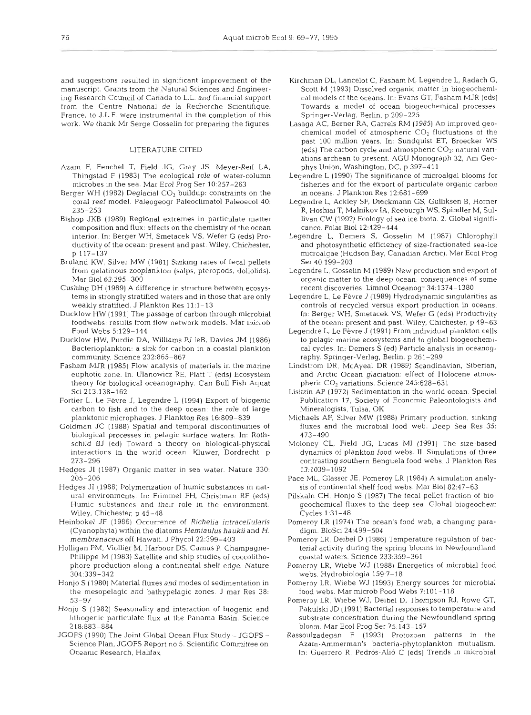and suggestions resulted in significant improvement of the manuscript. Grants from the Natural Sciences and Engineering Research Council of Canada to L.L. and financial support from the Centre National de la Recherche Scientifique, France, to J.L.F. were instrumental in the completion of this work. We thank Mr Serge Gosselin for preparing the figures.

## LITERATURE CITED

- Azam F, Fenchel T, Field JG, Gray JS, Meyer-Re11 LA, Thingstad F (1983) The ecological role of water-column microbes in the sea. Mar Ecol Prog Ser 10:257-263
- Berger WH (1982) Deglacial  $CO<sub>2</sub>$  buildup: constraints on the coral reef model. Paleogeogr Paleoclimatol Paleoecol 40: 235-253
- Bishop JKB (1989) Regional extremes in particulate matter composition and flux: effects on the chemistry of the ocean interior. In: Berger WH, Smetacek VS, Wefer G (eds) Productivity of the ocean: present and past. Wiley, Chichester, p 117-137
- Bruland KW, Silver MW (1981) Sinking rates of fecal pellets from gelatinous zooplankton (salps, pteropods, doliolids). Mar Biol 63:295-300
- Cushing DH (1989) A difference in structure between ecosystems in strongly stratified waters and in those that are only weakly stratified. J Plankton Res 11:l-13
- Ducklow HW (1991) The passage of carbon through microbial foodwebs: results from flow network models. Mar microb Food Webs 5:129-144
- Ducklow HW, Purdie DA, Williams PJ leB, Davies JM (1986) Bacterioplankton: a sink for carbon in a coastal plankton community. Science 232:865-867
- Fasham MJR (1985) Flow analysis of materials in the marine euphotic zone. In: Ulanowicz RE, Platt T (eds) Ecosystem theory for biological oceanography. Can Bull Fish Aquat Sci 213:138-162
- Fortier L, Le Fèvre J, Legendre L (1994) Export of biogenic carbon to fish and to the deep ocean: the role of large planktonic microphages. J Plankton Res 16:809-839
- Goldman JC (1988) Spatial and temporal discontinuities of biological processes in pelagic surface waters. In: Rothschild BJ (ed) Toward a theory on biological-physical interactions in the world ocean. Kluwer, Dordrecht, p 273-296
- Hedges J1 (1987) Organic matter in sea water. Nature 330: 205-206
- Hedges JI (1988) Polymerization of humic substances in natural environments. In: Frimmel FH, Christman RF (eds) Humic substances and their role in the environment. Wiley, Chichester, p 45-48
- Heinbokel JF (1986) Occurrence of Richelia intracellularis (Cyanophyta) within the diatoms Hemiaulus haukii and H. membranaceus off Hawaii. J Phycol 22:399-403
- Holligan PM, Viollier M, Harbour DS, Camus P, Champagne-Philippe M (1983) Satellite and ship studies of coccolithophore production along a continental shelf edge. Nature 304:339-342
- Honjo S (1980) Material fluxes and modes of sedimentation in the mesopelagic and bathypelagic zones J mar Res 38: 53-97
- Honjo S (1982) Seasonality and interaction of biogenic and lithogenic particulate flux at the Panama Basin. Science 218:883-884
- JGOFS (1990) The Joint Global Ocean Flux Study JGOFS Science Plan, JGOFS Report no 5. Scientific Committee on Oceanic Research, Halifax
- Kirchman DL, Lancelot C, Fasham M, Legendre L, Radach G, Scott M (1993) Dissolved organic matter in biogeochemical models of the oceans. In: Evans GT, Fasham MJR (eds) Towards a model of ocean biogeochemical processes. Springer-Verlag, Berlin, p 209-225
- Lasaga AC, Berner RA, Garrels RM (1985) An improved geochemical model of atmospheric  $CO<sub>2</sub>$  fluctuations of the past 100 million years. In: Sundquist ET, Broecker WS (eds) The carbon cycle and atmospheric  $CO<sub>2</sub>$ : natural variations archean to present. AGU Monograph 32, Am Geophys Union, Washington, DC, p 397-411
- Legendre L (1990) The significance of microalgal blooms for fisheries and for the export of particulate organic carbon in oceans. J Plankton Res 12:681-699
- Legendre L, Ackley SF, Dieckmann GS, Gulliksen B, Horner R, Hoshiai T, Malnikov IA, Reeburgh WS, Spindler M, Sullivan CW (1992) Ecology of sea ice biota. *2.* Global significance. Polar Biol 12,429-444
- Legendre L, Demers S, Gosselin M (1987) Chlorophyll and photosynthetic efficiency of size-fractionated sea-ice microalgae (Hudson Bay, Canadian Arctic). Mar Ecol Prog Ser 40 199-203
- Legendre L, Gosselin M (1989) New production and export of organic matter to the deep ocean: consequences of some recent discoveries. Limnol Oceanogr 34:1374- 1380
- Legendre L, Le Fevre J (1989) Hydrodynamic singularities as controls of recycled versus export production in oceans. In: Berger WH, Smetacek VS, Wefer G (eds) Productivity of the ocean: present and past. Wiley, Chichester, p 49-63
- Legendre L, Le Fèvre J (1991) From individual plankton cells to pelagic marine ecosystems and to global biogeochemical cycles. In: Demers S (ed) Particle analysis in oceanography. Springer-Verlag, Berlin, p 261-299
- Lindstrom DR, McAyeal DR (1989) Scandinavian, Siberian, and Arctic Ocean glaciation: effect of Holocene atmospheric  $CO<sub>2</sub>$  variations. Science 245:628-631
- Lisitzin AP (1972) Sedimentation in the world ocean. Special Publication 17, Society of Economic Paleontologists and Mineralogists, Tulsa, OK
- Michaels AF, Silver MW (1988) Primary production, sinking fluxes and the microbial food web. Deep Sea Res 35: 473-490
- Moloney CL, Field JG, Lucas MI (1991) The size-based dynamics of plankton food webs. 11. Slmulations of three contrasting southern Benguela food webs. J Plankton Res 13:1039-1092
- Pace ML, Glasser JE, Pomeroy LR (1984) A simulation analysis of continental shelf food webs. Mar Biol 82:47-63
- Pilskaln CH. Honjo S (1987) The fecal pellet fraction of biogeochemical fluxes to the deep sea. Global biogeochem Cycles 1:31-48
- Pomeroy LR (1974) The ocean's food web, a changing paradigm. BioSci 24:499-504
- Pomeroy LR, Deibel D (1986) Temperature regulation of bacterial activity during the spring blooms in Newfoundland coastal waters. Science 233:359-361
- Pomeroy LR, Wiebe WJ (1988) Energetics of microbial food webs. Hydrobiologia 159:7-18
- Pomeroy LR, Wiebe WJ (1993) Energy sources for microbial food webs. Mar microb Food Webs 7:101-118
- Pomeroy LR. Wiebe WJ, Deibel D, Thompson RJ, Rowe GT, Pakulski JD (1991) Bacterial responses to temperature and substrate concentration during the Newfoundland spring bloom. Mar Ecol Prog Ser 75 143-157
- Rassoulzadegan F (1993) Protozoan patterns in the Azam-Ammerman's bacteria-phytoplankton mutualism. In: Guerrero R, Pedrós-Alió C (eds) Trends in microbial